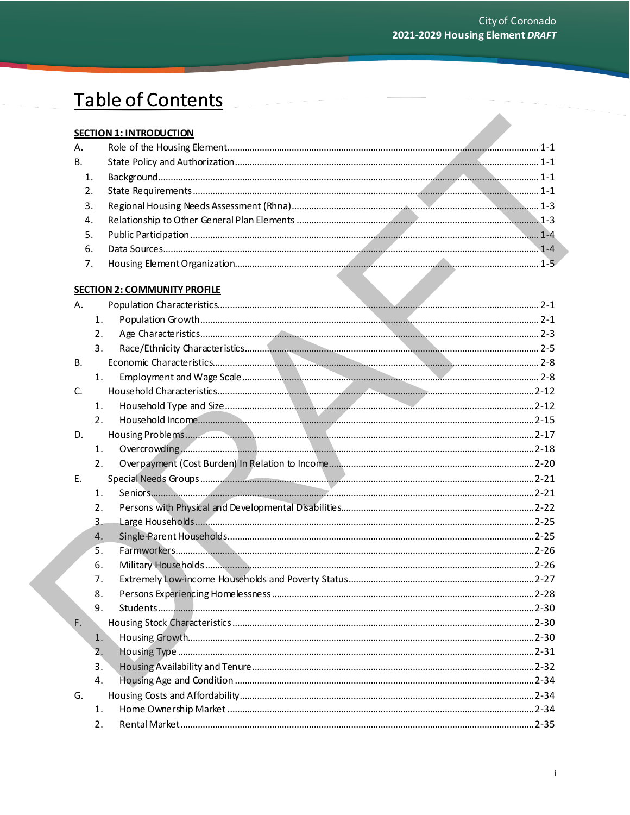## Table of Contents

|           | <b>SECTION 1: INTRODUCTION</b>      |  |
|-----------|-------------------------------------|--|
| A.        |                                     |  |
| В.        |                                     |  |
| 1.        |                                     |  |
| 2.        |                                     |  |
| 3.        |                                     |  |
| 4.        |                                     |  |
| 5.        |                                     |  |
| 6.        |                                     |  |
| 7.        |                                     |  |
|           | <b>SECTION 2: COMMUNITY PROFILE</b> |  |
| Α.        |                                     |  |
|           | 1.                                  |  |
|           | 2.                                  |  |
|           | 3.                                  |  |
| <b>B.</b> |                                     |  |
|           | 1.                                  |  |
| C.        |                                     |  |
|           | 1.                                  |  |
|           | 2.                                  |  |
| D.        |                                     |  |
|           | 1.                                  |  |
|           | 2.                                  |  |
| Е.        |                                     |  |
|           | 1.                                  |  |
|           | 2.                                  |  |
|           | 3.                                  |  |
|           | 4.                                  |  |
|           | 5.                                  |  |
|           | 6.                                  |  |
|           | 7.                                  |  |
|           | 8.                                  |  |
|           | 9.                                  |  |
| F.        |                                     |  |
|           | 1.                                  |  |
|           | 2.                                  |  |
|           | 3.                                  |  |
|           | 4.                                  |  |
| G.        |                                     |  |
|           | 1.                                  |  |
|           | 2.                                  |  |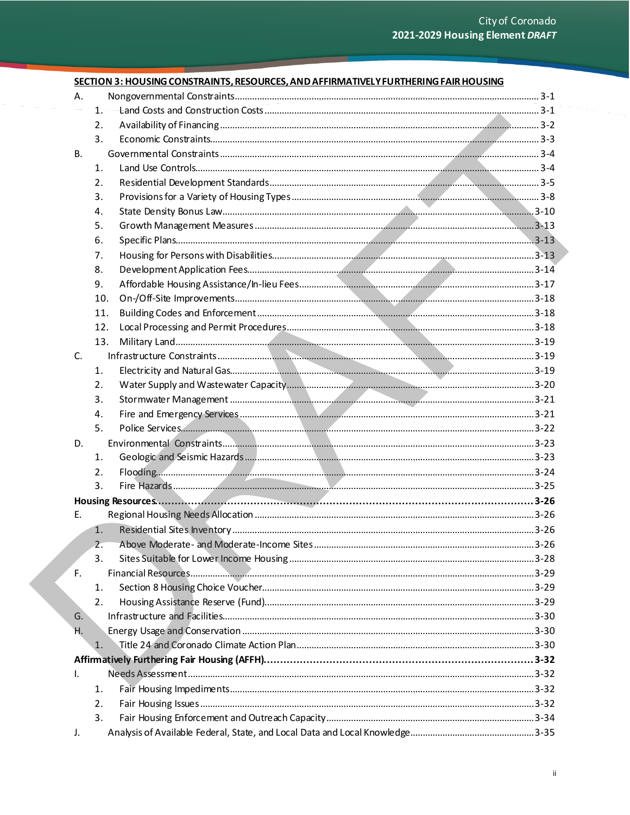|             | <b>SECTION 3: HOUSING CONSTRAINTS, RESOURCES, AND AFFIRMATIVELY FURTHERING FAIR HOUSING</b> |  |
|-------------|---------------------------------------------------------------------------------------------|--|
| А.          |                                                                                             |  |
|             | 1.                                                                                          |  |
|             | 2.                                                                                          |  |
|             | 3.                                                                                          |  |
| <b>B.</b>   |                                                                                             |  |
|             | 1.                                                                                          |  |
|             | 2.                                                                                          |  |
|             | 3.                                                                                          |  |
|             | 4.                                                                                          |  |
|             | 5.                                                                                          |  |
|             | 6.                                                                                          |  |
|             | 7.                                                                                          |  |
|             | 8.                                                                                          |  |
|             | 9.                                                                                          |  |
|             | 10.                                                                                         |  |
|             | 11.                                                                                         |  |
|             | 12.                                                                                         |  |
|             | 13.                                                                                         |  |
| $C_{\cdot}$ |                                                                                             |  |
|             | 1.                                                                                          |  |
|             | 2.                                                                                          |  |
|             | 3.                                                                                          |  |
|             | 4.                                                                                          |  |
|             | 5.                                                                                          |  |
| D.          |                                                                                             |  |
|             | 1.                                                                                          |  |
|             | 2.                                                                                          |  |
|             | 3.                                                                                          |  |
|             |                                                                                             |  |
| Е.          |                                                                                             |  |
|             | 1.                                                                                          |  |
|             | 2.                                                                                          |  |
|             | 3.                                                                                          |  |
| F.          |                                                                                             |  |
|             | 1.                                                                                          |  |
|             | 2.                                                                                          |  |
| G.          |                                                                                             |  |
| Ή.          |                                                                                             |  |
|             | 1.                                                                                          |  |
|             |                                                                                             |  |
| I.          |                                                                                             |  |
|             | 1.                                                                                          |  |
|             | 2.                                                                                          |  |
|             | 3.                                                                                          |  |
| J.          |                                                                                             |  |
|             |                                                                                             |  |